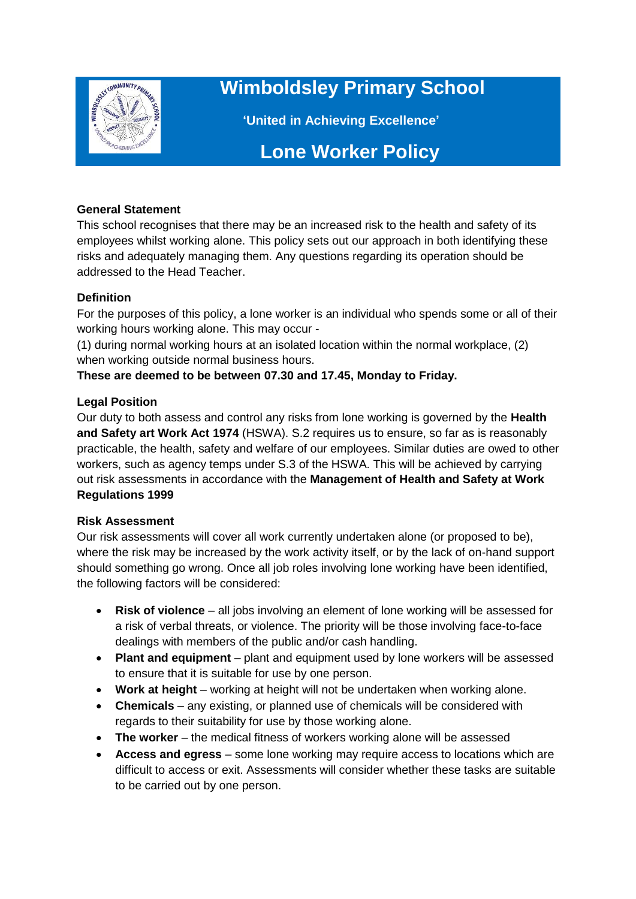

# **Wimboldsley Primary School**

 **'United in Achieving Excellence'**

# **Lone Worker Policy**

## **General Statement**

This school recognises that there may be an increased risk to the health and safety of its employees whilst working alone. This policy sets out our approach in both identifying these risks and adequately managing them. Any questions regarding its operation should be addressed to the Head Teacher.

#### **Definition**

For the purposes of this policy, a lone worker is an individual who spends some or all of their working hours working alone. This may occur -

(1) during normal working hours at an isolated location within the normal workplace, (2) when working outside normal business hours.

# **These are deemed to be between 07.30 and 17.45, Monday to Friday.**

#### **Legal Position**

Our duty to both assess and control any risks from lone working is governed by the **Health and Safety art Work Act 1974** (HSWA). S.2 requires us to ensure, so far as is reasonably practicable, the health, safety and welfare of our employees. Similar duties are owed to other workers, such as agency temps under S.3 of the HSWA. This will be achieved by carrying out risk assessments in accordance with the **Management of Health and Safety at Work Regulations 1999**

#### **Risk Assessment**

Our risk assessments will cover all work currently undertaken alone (or proposed to be), where the risk may be increased by the work activity itself, or by the lack of on-hand support should something go wrong. Once all job roles involving lone working have been identified, the following factors will be considered:

- **Risk of violence** all jobs involving an element of lone working will be assessed for a risk of verbal threats, or violence. The priority will be those involving face-to-face dealings with members of the public and/or cash handling.
- **Plant and equipment** plant and equipment used by lone workers will be assessed to ensure that it is suitable for use by one person.
- **Work at height** working at height will not be undertaken when working alone.
- **Chemicals** any existing, or planned use of chemicals will be considered with regards to their suitability for use by those working alone.
- **The worker** the medical fitness of workers working alone will be assessed
- **Access and egress** some lone working may require access to locations which are difficult to access or exit. Assessments will consider whether these tasks are suitable to be carried out by one person.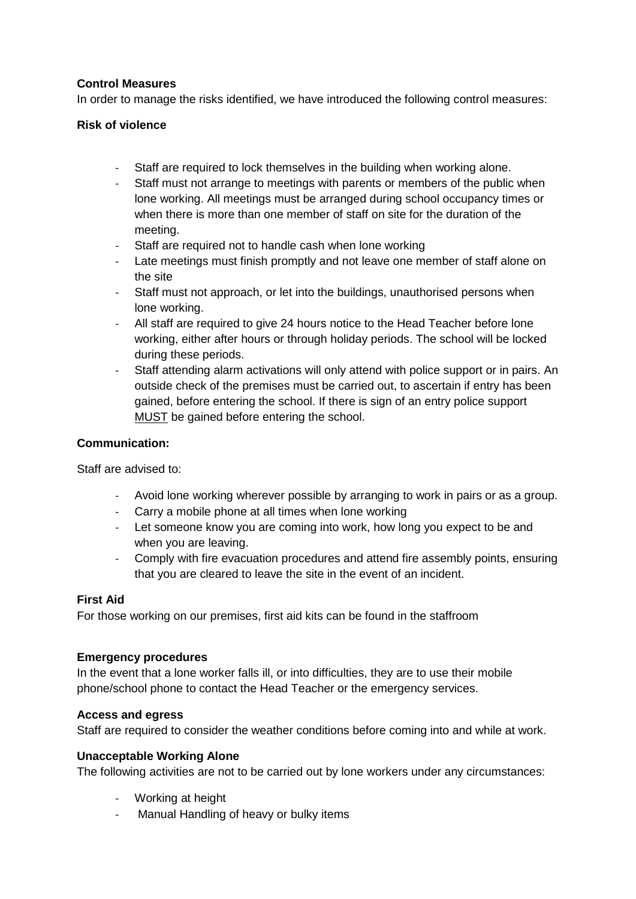## **Control Measures**

In order to manage the risks identified, we have introduced the following control measures:

#### **Risk of violence**

- Staff are required to lock themselves in the building when working alone.
- Staff must not arrange to meetings with parents or members of the public when lone working. All meetings must be arranged during school occupancy times or when there is more than one member of staff on site for the duration of the meeting.
- Staff are required not to handle cash when lone working
- Late meetings must finish promptly and not leave one member of staff alone on the site
- Staff must not approach, or let into the buildings, unauthorised persons when lone working.
- All staff are required to give 24 hours notice to the Head Teacher before lone working, either after hours or through holiday periods. The school will be locked during these periods.
- Staff attending alarm activations will only attend with police support or in pairs. An outside check of the premises must be carried out, to ascertain if entry has been gained, before entering the school. If there is sign of an entry police support MUST be gained before entering the school.

#### **Communication:**

Staff are advised to:

- Avoid lone working wherever possible by arranging to work in pairs or as a group.
- Carry a mobile phone at all times when lone working
- Let someone know you are coming into work, how long you expect to be and when you are leaving.
- Comply with fire evacuation procedures and attend fire assembly points, ensuring that you are cleared to leave the site in the event of an incident.

#### **First Aid**

For those working on our premises, first aid kits can be found in the staffroom

#### **Emergency procedures**

In the event that a lone worker falls ill, or into difficulties, they are to use their mobile phone/school phone to contact the Head Teacher or the emergency services.

#### **Access and egress**

Staff are required to consider the weather conditions before coming into and while at work.

#### **Unacceptable Working Alone**

The following activities are not to be carried out by lone workers under any circumstances:

- Working at height
- Manual Handling of heavy or bulky items